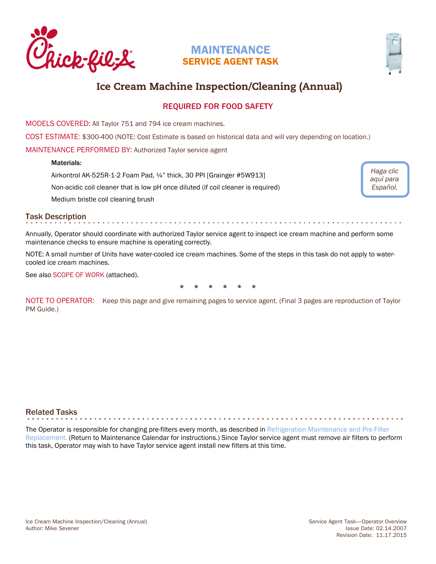<span id="page-0-0"></span>

# MAINTENANCE SERVICE AGENT TASK



*Haga clic [aquí para](https://www.cfahome.com/cs/groups/equipment-login/documents/document/cfaprod_133983.pdf#page=20)  Español.*

# Ice Cream Machine Inspection/Cleaning (Annual)

## REQUIRED FOR FOOD SAFETY

MODELS COVERED: All Taylor 751 and 794 ice cream machines.

COST ESTIMATE: \$300-400 (NOTE: Cost Estimate is based on historical data and will vary depending on location.)

MAINTENANCE PERFORMED BY: Authorized Taylor service agent

## Materials:

Airkontrol AK-525R-1-2 Foam Pad, ¼" thick, 30 PPI [Grainger #5W913]

Non-acidic coil cleaner that is low pH once diluted (if coil cleaner is required)

Medium bristle coil cleaning brush

## Task Description

Annually, Operator should coordinate with authorized Taylor service agent to inspect ice cream machine and perform some maintenance checks to ensure machine is operating correctly.

. . . . . . . .

NOTE: A small number of Units have water-cooled ice cream machines. Some of the steps in this task do not apply to watercooled ice cream machines.

See also SCOPE OF WORK (attached).



NOTE TO OPERATOR: Keep this page and give remaining pages to service agent. (Final 3 pages are reproduction of Taylor PM Guide.)

## Related Tasks

The Operator is responsible for changing pre-filters every month, as described in Refrigeration Maintenance and Pre-Filter [Replacement.](http://static.cfacdn.com/fmpublic/cfaprod_129528) (Return to Maintenance Calendar for instructions.) Since Taylor service agent must remove air filters to perform this task, Operator may wish to have Taylor service agent install new filters at this time.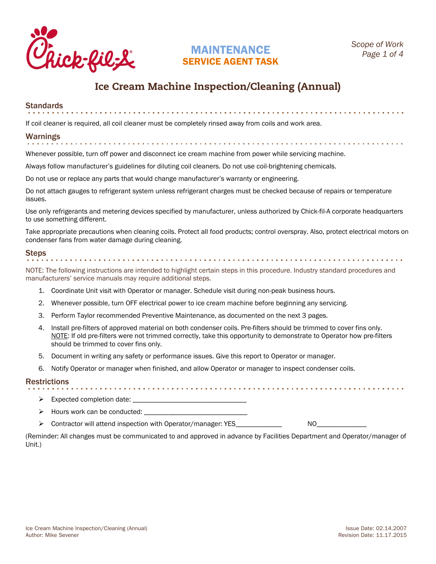

# MAINTENANCE SERVICE AGENT TASK

# Ice Cream Machine Inspection/Cleaning (Annual)

# Standards

If coil cleaner is required, all coil cleaner must be completely rinsed away from coils and work area.

# Warnings

Whenever possible, turn off power and disconnect ice cream machine from power while servicing machine.

Always follow manufacturer's guidelines for diluting coil cleaners. Do not use coil-brightening chemicals.

Do not use or replace any parts that would change manufacturer's warranty or engineering.

Do not attach gauges to refrigerant system unless refrigerant charges must be checked because of repairs or temperature issues.

Use only refrigerants and metering devices specified by manufacturer, unless authorized by Chick-fil-A corporate headquarters to use something different.

Take appropriate precautions when cleaning coils. Protect all food products; control overspray. Also, protect electrical motors on condenser fans from water damage during cleaning.

# Steps

NOTE: The following instructions are intended to highlight certain steps in this procedure. Industry standard procedures and manufacturers' service manuals may require additional steps.

- 1. Coordinate Unit visit with Operator or manager. Schedule visit during non-peak business hours.
- 2. Whenever possible, turn OFF electrical power to ice cream machine before beginning any servicing.
- 3. Perform Taylor recommended Preventive Maintenance, as documented on the next 3 pages.
- 4. Install pre-filters of approved material on both condenser coils. Pre-filters should be trimmed to cover fins only. NOTE: If old pre-filters were not trimmed correctly, take this opportunity to demonstrate to Operator how pre-filters should be trimmed to cover fins only.
- 5. Document in writing any safety or performance issues. Give this report to Operator or manager.
- 6. Notify Operator or manager when finished, and allow Operator or manager to inspect condenser coils.

## **Restrictions**

- $\triangleright$  Expected completion date:
- $\triangleright$  Hours work can be conducted:
- → Contractor will attend inspection with Operator/manager: YES NO

(Reminder: All changes must be communicated to and approved in advance by Facilities Department and Operator/manager of Unit.)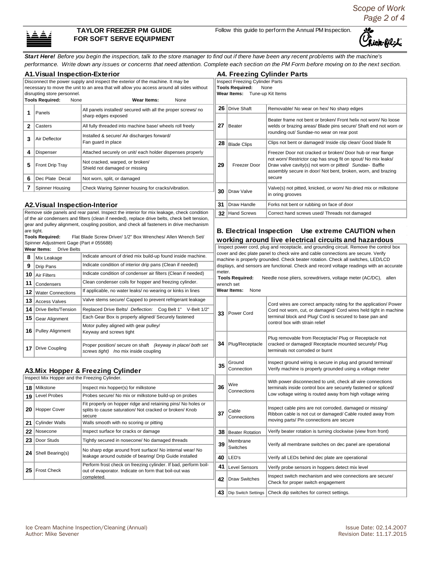*Scope of Work Page 2 of 4*



## **TAYLOR FREEZER PM GUIDE FOR SOFT SERVE EQUIPMENT**

Follow this guide to perform the Annual PM Inspection.

ι ick-fil-L

*Start Here! Before you begin the inspection, talk to the store manager to find out if there have been any recent problems with the machine's performance. Write down any issues or concerns that need attention. Complete each section on the PM Form before moving on to the next section.* 

|                                                                                                                          | <b>A1. Visual Inspection-Exterior</b>                                        |                                                                                                                                   | <b>A4. Freezing Cylinder Parts</b>                                                                                                                                           |                                                                 |                                                                                                                                                                                                                                     |  |  |  |
|--------------------------------------------------------------------------------------------------------------------------|------------------------------------------------------------------------------|-----------------------------------------------------------------------------------------------------------------------------------|------------------------------------------------------------------------------------------------------------------------------------------------------------------------------|-----------------------------------------------------------------|-------------------------------------------------------------------------------------------------------------------------------------------------------------------------------------------------------------------------------------|--|--|--|
| Disconnect the power supply and inspect the exterior of the machine. It may be                                           |                                                                              |                                                                                                                                   |                                                                                                                                                                              | Inspect Freezing Cylinder Parts                                 |                                                                                                                                                                                                                                     |  |  |  |
| necessary to move the unit to an area that will allow you access around all sides without<br>disrupting store personnel. |                                                                              |                                                                                                                                   |                                                                                                                                                                              | <b>Tools Required:</b><br>None<br>Wear Items: Tune-up Kit Items |                                                                                                                                                                                                                                     |  |  |  |
|                                                                                                                          | <b>Tools Required:</b><br>None                                               | Wear Items:<br>None                                                                                                               |                                                                                                                                                                              |                                                                 |                                                                                                                                                                                                                                     |  |  |  |
| 1.                                                                                                                       | Panels                                                                       | All panels installed/ secured with all the proper screws/ no<br>sharp edges exposed                                               |                                                                                                                                                                              | 26 Drive Shaft                                                  | Removable/ No wear on hex/ No sharp edges                                                                                                                                                                                           |  |  |  |
| $\mathbf{2}$                                                                                                             | Casters                                                                      | All fully threaded into machine base/ wheels roll freely                                                                          |                                                                                                                                                                              | 27 Beater                                                       | Beater frame not bent or broken/ Front helix not worn/ No loose<br>welds or brazing areas/ Blade pins secure/ Shaft end not worn or                                                                                                 |  |  |  |
|                                                                                                                          |                                                                              |                                                                                                                                   |                                                                                                                                                                              |                                                                 | rounding out/ Sundae-no wear on rear post                                                                                                                                                                                           |  |  |  |
| 3                                                                                                                        | Air Deflector                                                                | Installed & secure/ Air discharges forward/<br>Fan quard in place                                                                 |                                                                                                                                                                              | 28 Blade Clips                                                  | Clips not bent or damaged/ Inside clip clean/ Good blade fit                                                                                                                                                                        |  |  |  |
| 4                                                                                                                        | Dispenser                                                                    | Attached securely on unit/ each holder dispenses properly                                                                         |                                                                                                                                                                              |                                                                 | Freezer Door not cracked or broken/ Door hub or rear flange                                                                                                                                                                         |  |  |  |
| 5                                                                                                                        | Front Drip Tray                                                              | Not cracked, warped, or broken/<br>Shield not damaged or missing                                                                  | 29                                                                                                                                                                           | Freezer Door                                                    | not worn/ Restrictor cap has snug fit on spout/ No mix leaks/<br>Draw valve cavity(s) not worn or pitted/ Sundae- Baffle<br>assembly secure in door/ Not bent, broken, worn, and brazing                                            |  |  |  |
| 6                                                                                                                        | Dec Plate Decal                                                              | Not worn, split, or damaged                                                                                                       |                                                                                                                                                                              |                                                                 | secure                                                                                                                                                                                                                              |  |  |  |
| 7                                                                                                                        | Spinner Housing                                                              | Check Waring Spinner housing for cracks/vibration.                                                                                | 30                                                                                                                                                                           | Draw Valve                                                      | Valve(s) not pitted, knicked, or worn/ No dried mix or milkstone<br>in oring grooves                                                                                                                                                |  |  |  |
|                                                                                                                          | <b>A2. Visual Inspection-Interior</b>                                        |                                                                                                                                   | 31                                                                                                                                                                           | Draw Handle                                                     | Forks not bent or rubbing on face of door                                                                                                                                                                                           |  |  |  |
|                                                                                                                          |                                                                              | Remove side panels and rear panel. Inspect the interior for mix leakage, check condition                                          |                                                                                                                                                                              | 32 Hand Screws                                                  | Correct hand screws used/ Threads not damaged                                                                                                                                                                                       |  |  |  |
|                                                                                                                          |                                                                              | of the air condensers and filters (clean if needed), replace drive belts, check belt tension,                                     |                                                                                                                                                                              |                                                                 |                                                                                                                                                                                                                                     |  |  |  |
|                                                                                                                          | are tight.                                                                   | gear and pulley alignment, coupling position, and check all fasteners in drive mechanism                                          |                                                                                                                                                                              |                                                                 | B. Electrical Inspection Use extreme CAUTION when                                                                                                                                                                                   |  |  |  |
|                                                                                                                          | <b>Tools Required:</b>                                                       | Flat Blade Screw Driver/ 1/2" Box Wrenches/ Allen Wrench Set/                                                                     |                                                                                                                                                                              |                                                                 | working around live electrical circuits and hazardous                                                                                                                                                                               |  |  |  |
|                                                                                                                          | Spinner Adjustment Gage (Part # 055688)<br>Wear Items:<br><b>Drive Belts</b> |                                                                                                                                   |                                                                                                                                                                              |                                                                 | Inspect power cord, plug and receptacle, and grounding circuit. Remove the control box                                                                                                                                              |  |  |  |
| 8                                                                                                                        | Mix Leakage                                                                  | Indicate amount of dried mix build-up found inside machine.                                                                       |                                                                                                                                                                              |                                                                 | cover and dec plate panel to check wire and cable connections are secure. Verify                                                                                                                                                    |  |  |  |
| 9                                                                                                                        |                                                                              | Indicate condition of interior drip pans (Clean if needed)                                                                        | machine is properly grounded. Check beater rotation. Check all switches, LED/LCD<br>displays, and sensors are functional. Check and record voltage readings with an accurate |                                                                 |                                                                                                                                                                                                                                     |  |  |  |
| <b>Drip Pans</b><br>Indicate condition of condenser air filters (Clean if needed)                                        |                                                                              |                                                                                                                                   | meter.<br><b>Tools Required:</b><br>Needle nose pliers, screwdrivers, voltage meter (AC/DC), allen                                                                           |                                                                 |                                                                                                                                                                                                                                     |  |  |  |
| 10<br>Air Filters<br>Clean condenser coils for hopper and freezing cylinder.                                             |                                                                              |                                                                                                                                   |                                                                                                                                                                              |                                                                 |                                                                                                                                                                                                                                     |  |  |  |
| 11<br>12                                                                                                                 | Condensers                                                                   | If applicable, no water leaks/no wearing or kinks in lines                                                                        | wrench set<br><b>Wear Items:</b> None                                                                                                                                        |                                                                 |                                                                                                                                                                                                                                     |  |  |  |
|                                                                                                                          | <b>Water Connections</b>                                                     | Valve stems secure/ Capped to prevent refrigerant leakage                                                                         |                                                                                                                                                                              |                                                                 |                                                                                                                                                                                                                                     |  |  |  |
| 13<br>14                                                                                                                 | <b>Access Valves</b><br><b>Drive Belts/Tension</b>                           | Replaced Drive Belts/ Deflection: Cog Belt 1" V-Belt 1/2"                                                                         |                                                                                                                                                                              |                                                                 | Cord wires are correct ampacity rating for the application/ Power<br>Cord not worn, cut, or damaged/ Cord wires held tight in machine<br>terminal block and Plug/ Cord is secured to base pan and<br>control box with strain relief |  |  |  |
|                                                                                                                          |                                                                              | Each Gear Box is properly aligned/ Securely fastened                                                                              | 33                                                                                                                                                                           | Power Cord                                                      |                                                                                                                                                                                                                                     |  |  |  |
| 15                                                                                                                       | Gear Alignment                                                               | Motor pulley aligned with gear pulley/                                                                                            |                                                                                                                                                                              |                                                                 |                                                                                                                                                                                                                                     |  |  |  |
|                                                                                                                          | 16   Pulley Alignment                                                        | Keyway and screws tight                                                                                                           |                                                                                                                                                                              |                                                                 | Plug removable from Receptacle/ Plug or Receptacle not                                                                                                                                                                              |  |  |  |
|                                                                                                                          | <b>17</b>   Drive Coupling                                                   | Proper position/ secure on shaft (keyway in place/ both set<br>screws tight) /no mix inside coupling                              | 34                                                                                                                                                                           | Plug/Receptacle                                                 | cracked or damaged/ Receptacle mounted securely/ Plug<br>terminals not corroded or burnt                                                                                                                                            |  |  |  |
|                                                                                                                          |                                                                              | A3. Mix Hopper & Freezing Cylinder                                                                                                | 35                                                                                                                                                                           | Ground<br>Connection                                            | Inspect ground wiring is secure in plug and ground terminal/<br>Verify machine is properly grounded using a voltage meter                                                                                                           |  |  |  |
|                                                                                                                          | Inspect Mix Hopper and the Freezing Cylinder.                                |                                                                                                                                   |                                                                                                                                                                              |                                                                 | With power disconnected to unit, check all wire connections                                                                                                                                                                         |  |  |  |
|                                                                                                                          | 18 Milkstone                                                                 | Inspect mix hopper(s) for milkstone                                                                                               | 36                                                                                                                                                                           | Wire<br>Connections                                             | terminals inside control box are securely fastened or spliced/                                                                                                                                                                      |  |  |  |
|                                                                                                                          | 19 Level Probes                                                              | Probes secure/ No mix or milkstone build-up on probes                                                                             |                                                                                                                                                                              |                                                                 | Low voltage wiring is routed away from high voltage wiring                                                                                                                                                                          |  |  |  |
|                                                                                                                          | 20   Hopper Cover                                                            | Fit properly on hopper ridge and retaining pins/ No holes or<br>splits to cause saturation/ Not cracked or broken/ Knob<br>secure | 37                                                                                                                                                                           | Cable<br>Connections                                            | Inspect cable pins are not corroded, damaged or missing/<br>Ribbon cable is not cut or damaged/ Cable routed away from                                                                                                              |  |  |  |
| 21                                                                                                                       | <b>Cylinder Walls</b>                                                        | Walls smooth with no scoring or pitting                                                                                           |                                                                                                                                                                              |                                                                 | moving parts/ Pin connections are secure                                                                                                                                                                                            |  |  |  |
| 22                                                                                                                       | Nosecone                                                                     | Inspect surface for cracks or damage                                                                                              | 38                                                                                                                                                                           | <b>Beater Rotation</b>                                          | Verify beater rotation is turning clockwise (view from front)                                                                                                                                                                       |  |  |  |
| 23                                                                                                                       | Door Studs                                                                   | Tightly secured in nosecone/ No damaged threads<br>No sharp edge around front surface/ No internal wear/ No                       | 39                                                                                                                                                                           | Membrane<br>Switches                                            | Verify all membrane switches on dec panel are operational                                                                                                                                                                           |  |  |  |
|                                                                                                                          | <b>24</b>   Shell Bearing(s)                                                 | leakage around outside of bearing/ Drip Guide installed                                                                           | 40                                                                                                                                                                           | LED's                                                           | Verify all LEDs behind dec plate are operational                                                                                                                                                                                    |  |  |  |
|                                                                                                                          |                                                                              | Perform frost check on freezing cylinder. If bad, perform boil-                                                                   | 41                                                                                                                                                                           | <b>Level Sensors</b>                                            | Verify probe sensors in hoppers detect mix level                                                                                                                                                                                    |  |  |  |
|                                                                                                                          | 25   Frost Check                                                             | out of evaporator. Indicate on form that boil-out was<br>completed.                                                               | 42                                                                                                                                                                           | <b>Draw Switches</b>                                            | Inspect switch mechanism and wire connections are secure/<br>Check for proper switch engagement                                                                                                                                     |  |  |  |
|                                                                                                                          |                                                                              |                                                                                                                                   | 43                                                                                                                                                                           | Dip Switch Settings                                             | Check dip switches for correct settings.                                                                                                                                                                                            |  |  |  |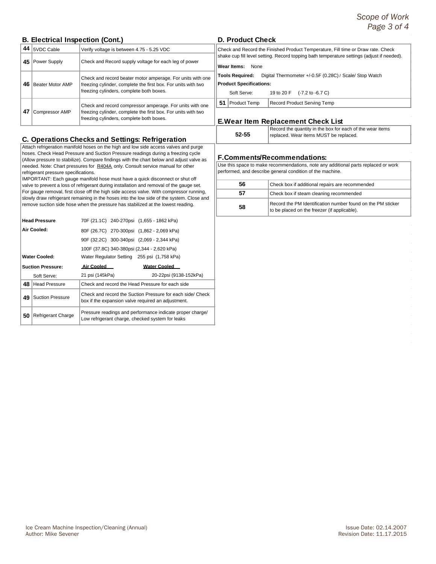## **B. Electrical Inspection (Cont.)**

| 44 | 5VDC Cable       | Verify voltage is between 4.75 - 5.25 VDC                                                                                                                               | Check and Record the F |                                                                 |      |     |
|----|------------------|-------------------------------------------------------------------------------------------------------------------------------------------------------------------------|------------------------|-----------------------------------------------------------------|------|-----|
| 45 | Power Supply     | Check and Record supply voltage for each leg of power                                                                                                                   |                        | shake cup fill level settin<br>Wear Items:                      | None |     |
| 46 | Beater Motor AMP | Check and record beater motor amperage. For units with one<br>freezing cylinder, complete the first box. For units with two<br>freezing cylinders, complete both boxes. |                        | Tools Required:<br><b>Product Specifications</b><br>Soft Serve: |      | Dig |
| 47 | Compressor AMP   | Check and record compressor amperage. For units with one<br>freezing cylinder, complete the first box. For units with two<br>freezing cylinders, complete both boxes.   | 51                     | Product Temp<br><b>E.Wear Item Re</b>                           |      |     |

## **C. Operations Checks and Settings: Refrigeration**

Attach refrigeration manifold hoses on the high and low side access valves and purge hoses. Check Head Pressure and Suction Pressure readings during a freezing cycle (Allow pressure to stabilize). Compare findings with the chart below and adjust valve as needed. Note: Chart pressures for R404A only. Consult service manual for other refrigerant pressure specifications.

IMPORTANT: Each gauge manifold hose must have a quick disconnect or shut off valve to prevent a loss of refrigerant during installation and removal of the gauge set. For gauge removal, first close off the high side access valve. With compressor running, slowly draw refrigerant remaining in the hoses into the low side of the system. Close and remove suction side hose when the pressure has stabilized at the lowest reading.

|    | <b>Head Pressure</b>      |                 | 70F (21.1C) 240-270psi (1,655 - 1862 kPa)                                                                        |  |
|----|---------------------------|-----------------|------------------------------------------------------------------------------------------------------------------|--|
|    | Air Cooled:               |                 | 80F (26.7C) 270-300psi (1,862 - 2,069 kPa)                                                                       |  |
|    |                           |                 | 90F (32.2C) 300-340psi (2,069 - 2,344 kPa)                                                                       |  |
|    |                           |                 | 100F (37.8C) 340-380psi (2,344 - 2,620 kPa)                                                                      |  |
|    | <b>Water Cooled:</b>      |                 | Water Regulator Setting 255 psi (1,758 kPa)                                                                      |  |
|    | <b>Suction Pressure:</b>  | Air Cooled      | Water Cooled                                                                                                     |  |
|    | Soft Serve:               | 21 psi (145kPa) | 20-22psi (9138-152kPa)                                                                                           |  |
| 48 | <b>Head Pressure</b>      |                 | Check and record the Head Pressure for each side                                                                 |  |
| 49 | <b>Suction Pressure</b>   |                 | Check and record the Suction Pressure for each side/ Check<br>box if the expansion valve required an adjustment. |  |
| 50 | <b>Refrigerant Charge</b> |                 | Pressure readings and performance indicate proper charge/<br>Low refrigerant charge, checked system for leaks    |  |

## **D. Product Check**

| Check and Record the Finished Product Temperature, Fill time or Draw rate. Check<br>shake cup fill level setting. Record topping bath temperature settings (adjust if needed). |  |  |  |  |  |  |
|--------------------------------------------------------------------------------------------------------------------------------------------------------------------------------|--|--|--|--|--|--|
| Wear Items:<br>None                                                                                                                                                            |  |  |  |  |  |  |
| Digital Thermometer +/-0.5F (0.28C) / Scale/ Stop Watch<br><b>Tools Required:</b>                                                                                              |  |  |  |  |  |  |
| <b>Product Specifications:</b>                                                                                                                                                 |  |  |  |  |  |  |
| Soft Serve:<br>19 to 20 F (-7.2 to -6.7 C)                                                                                                                                     |  |  |  |  |  |  |
| <b>Product Temp</b><br>51<br>Record Product Serving Temp                                                                                                                       |  |  |  |  |  |  |

## **E.Wear Item Replacement Check List**

**52-55**

Record the quantity in the box for each of the wear items replaced. Wear items MUST be replaced.

## **F.Comments/Recommendations:**

Use this space to make recommendations, note any additional parts replaced or work performed, and describe general condition of the machine.

| 56 | Check box if additional repairs are recommended                                                             |
|----|-------------------------------------------------------------------------------------------------------------|
| 57 | Check box if steam cleaning recommended                                                                     |
| 58 | Record the PM Identification number found on the PM sticker<br>to be placed on the freezer (if applicable). |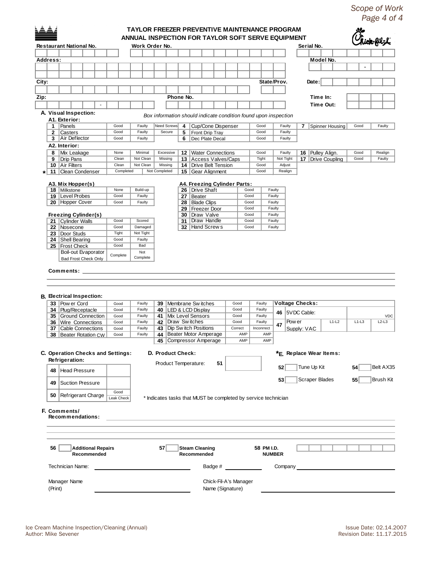*Scope of Work Page 4 of 4*

|                   |                                                 |                    | ANNUAL INSPECTION FOR TAYLOR SOFT SERVE EQUIPMENT |                                                  |                       |                                      |                              |              |              |                                                                 |                  |                  |                        |           |                         |         |                        |
|-------------------|-------------------------------------------------|--------------------|---------------------------------------------------|--------------------------------------------------|-----------------------|--------------------------------------|------------------------------|--------------|--------------|-----------------------------------------------------------------|------------------|------------------|------------------------|-----------|-------------------------|---------|------------------------|
|                   | Restaurant National No.                         |                    | Work Order No.                                    |                                                  |                       |                                      |                              |              |              |                                                                 |                  |                  | Serial No.             |           |                         |         |                        |
|                   |                                                 |                    |                                                   |                                                  |                       |                                      |                              |              |              |                                                                 |                  |                  |                        |           |                         |         |                        |
| Address:          |                                                 |                    |                                                   |                                                  |                       |                                      |                              |              |              |                                                                 |                  |                  |                        | Model No. |                         |         |                        |
|                   |                                                 |                    |                                                   |                                                  |                       |                                      |                              |              |              |                                                                 |                  |                  |                        |           |                         |         |                        |
|                   |                                                 |                    |                                                   |                                                  |                       |                                      |                              |              |              |                                                                 |                  |                  |                        |           |                         |         |                        |
| City:             |                                                 |                    |                                                   |                                                  |                       |                                      |                              |              |              |                                                                 | State/Prov.      |                  |                        | Date:     |                         |         |                        |
|                   |                                                 |                    |                                                   |                                                  |                       |                                      |                              |              |              |                                                                 |                  |                  |                        |           |                         |         |                        |
| Zip:              |                                                 |                    |                                                   |                                                  | Phone No.             |                                      |                              |              |              |                                                                 |                  |                  |                        | Time In:  |                         |         |                        |
|                   |                                                 |                    |                                                   |                                                  |                       |                                      |                              |              |              |                                                                 |                  |                  |                        | Time Out: |                         |         |                        |
|                   | A. Visual Inspection:                           |                    |                                                   |                                                  |                       |                                      |                              |              |              | Box information should indicate condition found upon inspection |                  |                  |                        |           |                         |         |                        |
|                   | A1. Exterior:                                   |                    |                                                   |                                                  |                       |                                      |                              |              |              |                                                                 |                  |                  |                        |           |                         |         |                        |
| 1                 | Panels                                          | Good               | Faulty                                            | Need Screws                                      | 4                     |                                      | Cup/Cone Dispenser           |              |              | Good                                                            |                  | Faulty           | 7                      |           | Spinner Housing         | Good    | Faulty                 |
| $\mathbf{2}$<br>3 | Casters<br>Air Deflector                        | Good<br>Good       | Faulty<br>Faulty                                  | Secure                                           | 6                     | 5   Front Drip Tray                  | Dec Plate Decal              |              |              | Good<br>Good                                                    |                  | Faulty<br>Faulty |                        |           |                         |         |                        |
|                   | A2. Interior:                                   |                    |                                                   |                                                  |                       |                                      |                              |              |              |                                                                 |                  |                  |                        |           |                         |         |                        |
|                   | 8   Mix Leakage                                 | None               | Minimal                                           | Excessive                                        |                       |                                      | 12   Water Connections       |              |              | Good                                                            |                  | Faulty           |                        |           | 16   Pulley Align.      | Good    | Realign                |
| 9                 | <b>Drip Pans</b>                                | Clean              | Not Clean                                         | Missing                                          |                       |                                      | 13 Access Valves/Caps        |              |              | Tight                                                           |                  | Not Tight        |                        |           | 17   Drive Coupling     | Good    | Faulty                 |
|                   | 10   Air Filters                                | Clean              | Not Clean                                         | Missing                                          |                       |                                      | 14   Drive Belt Tension      |              |              | Good                                                            |                  | Adjust           |                        |           |                         |         |                        |
| 11<br>$^\star$    | Clean Condenser                                 | Completed          |                                                   | Not Completed                                    |                       |                                      | 15 Gear Alignment            |              |              | Good                                                            |                  | Realign          |                        |           |                         |         |                        |
|                   |                                                 |                    |                                                   |                                                  |                       |                                      |                              |              |              |                                                                 |                  |                  |                        |           |                         |         |                        |
|                   | A3. Mix Hopper(s)<br>18   Milkstone             | None               | Build-up                                          |                                                  |                       | 26   Drive Shaft                     | A4. Freezing Cylinder Parts: |              | Good         |                                                                 | Faulty           |                  |                        |           |                         |         |                        |
|                   | 19   Level Probes                               | Good               | Faulty                                            |                                                  |                       | 27   Beater                          |                              |              | Good         |                                                                 | Faulty           |                  |                        |           |                         |         |                        |
|                   | 20 Hopper Cover                                 | Good               | Faulty                                            |                                                  |                       | 28   Blade Clips                     |                              |              | Good         |                                                                 | Faulty           |                  |                        |           |                         |         |                        |
|                   |                                                 |                    |                                                   |                                                  |                       | 29   Freezer Door                    |                              |              | Good         |                                                                 | Faulty           |                  |                        |           |                         |         |                        |
|                   | <b>Freezing Cylinder(s)</b>                     |                    |                                                   |                                                  |                       | 30   Draw Valve                      |                              |              | Good         |                                                                 | Faulty           |                  |                        |           |                         |         |                        |
|                   | 21 Cylinder Walls                               | Good<br>Good       | Scored<br>Damaged                                 |                                                  |                       | 31   Draw Handle<br>32 Hand Screws   |                              |              | Good<br>Good |                                                                 | Faulty<br>Faulty |                  |                        |           |                         |         |                        |
|                   | 22   Nosecone<br>23   Door Studs                | Tight              | Not Tight                                         |                                                  |                       |                                      |                              |              |              |                                                                 |                  |                  |                        |           |                         |         |                        |
|                   | 24   Shell Bearing                              | Good               | Faulty                                            |                                                  |                       |                                      |                              |              |              |                                                                 |                  |                  |                        |           |                         |         |                        |
|                   | 25   Frost Check                                | Good               | Bad                                               |                                                  |                       |                                      |                              |              |              |                                                                 |                  |                  |                        |           |                         |         |                        |
|                   |                                                 |                    |                                                   |                                                  |                       |                                      |                              |              |              |                                                                 |                  |                  |                        |           |                         |         |                        |
|                   | Boil-out Evaporator                             |                    | Not                                               |                                                  |                       |                                      |                              |              |              |                                                                 |                  |                  |                        |           |                         |         |                        |
|                   | <b>Bad Frost Check Only</b><br><b>Comments:</b> | Complete           | Complete                                          |                                                  |                       |                                      |                              |              |              |                                                                 |                  |                  |                        |           |                         |         |                        |
|                   | <b>B.</b> Electrical Inspection:                |                    |                                                   |                                                  |                       |                                      |                              |              |              |                                                                 |                  |                  |                        |           |                         |         |                        |
|                   | 33 Pow er Cord                                  | Good               | Faulty<br>Faulty                                  | 39   Membrane Switches                           |                       |                                      |                              | Good<br>Good |              | Faulty<br>Faulty                                                |                  |                  | <b>Voltage Checks:</b> |           |                         |         |                        |
|                   | 34 Plug/Receptacle<br>35 Ground Connection      | Good<br>Good       | Faulty                                            | 40   LED & LCD Display<br>41   Mix Level Sensors |                       |                                      |                              | Good         |              | Faulty                                                          | 46               |                  | 5VDC Cable:            |           |                         |         |                        |
|                   | 36 Wire Connections                             | Good               | Faulty                                            | 42   Draw Switches                               |                       |                                      |                              | Good         |              | Faulty                                                          |                  | Pow er           |                        |           | $L1-L2$                 | $L1-L3$ | $L2-L3$                |
|                   | 37   Cable Connections                          | Good               | Faulty                                            | 43   Dip Sw itch Positions                       |                       |                                      |                              | Correct      |              | Inconrrect                                                      | 47               |                  | Supply: VAC            |           |                         |         |                        |
|                   | 38   Beater Rotation CW                         | Good               | Faulty                                            | 44 I                                             | Beater Motor Amperage |                                      |                              |              | AMP          | AMP                                                             |                  |                  |                        |           |                         |         |                        |
|                   |                                                 |                    |                                                   | 45   Compressor Amperage                         |                       |                                      |                              |              | AMP          | AMP                                                             |                  |                  |                        |           |                         |         |                        |
|                   |                                                 |                    |                                                   |                                                  |                       |                                      |                              |              |              |                                                                 |                  |                  |                        |           |                         |         | <b>VDC</b>             |
|                   | C. Operation Checks and Settings:               |                    |                                                   | D. Product Check:                                |                       |                                      |                              |              |              |                                                                 |                  |                  |                        |           | *E. Replace Wear Items: |         |                        |
| 48                | Refrigeration:<br><b>Head Pressure</b>          |                    |                                                   | Product Temperature:                             |                       |                                      | 51                           |              |              |                                                                 | 52               |                  | Tune Up Kit            |           |                         | 54      |                        |
| 49                | <b>Suction Pressure</b>                         |                    |                                                   |                                                  |                       |                                      |                              |              |              |                                                                 | 53               |                  | <b>Scraper Blades</b>  |           |                         | 55      | Belt AX35<br>Brush Kit |
|                   | 50   Refrigerant Charge                         | Good<br>Leak Check |                                                   |                                                  |                       |                                      |                              |              |              | * Indicates tasks that MUST be completed by service technician  |                  |                  |                        |           |                         |         |                        |
|                   | F. Comments/<br>Recommendations:                |                    |                                                   |                                                  |                       |                                      |                              |              |              |                                                                 |                  |                  |                        |           |                         |         |                        |
| 56                | <b>Additional Repairs</b><br>Recommended        |                    |                                                   | 57 <sub>1</sub>                                  |                       | <b>Steam Cleaning</b><br>Recommended |                              |              |              | 58 PM I.D.                                                      | <b>NUMBER</b>    |                  |                        |           |                         |         |                        |

Name (Signature)

(Print)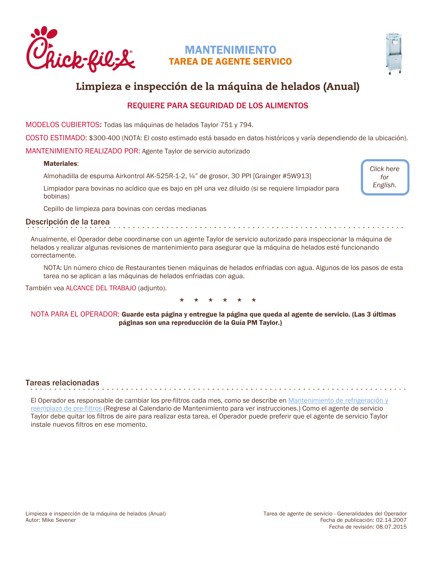<span id="page-5-0"></span>

# MANTENIMIENTO TAREA DE AGENTE SERVICO



# Limpieza e inspección de la máquina de helados (Anual)

## REQUIERE PARA SEGURIDAD DE LOS ALIMENTOS

MODELOS CUBIERTOS: Todas las máquinas de helados Taylor 751 y 794.

COSTO ESTIMADO: \$300-400 (NOTA: El costo estimado está basado en datos históricos y varía dependiendo de la ubicación).

MANTENIMIENTO REALIZADO POR: Agente Taylor de servicio autorizado

## Materiales:

Almohadilla de espuma Airkontrol AK-525R-1-2, ¼" de grosor, 30 PPI [Grainger #5W913]

Limpiador para bovinas no acídico que es bajo en pH una vez diluido (si se requiere limpiador para bobinas)

*[Click here](https://www.cfahome.com/cs/groupshttps:/www.cfahome.com/cs/groups/equipment-login/documents/document/cfaprod_089103.pdf#page=18)  for English.*

Cepillo de limpieza para bovinas con cerdas medianas

## Descripción de la tarea

Anualmente, el Operador debe coordinarse con un agente Taylor de servicio autorizado para inspeccionar la máquina de helados y realizar algunas revisiones de mantenimiento para asegurar que la máquina de helados esté funcionando correctamente.

NOTA: Un número chico de Restaurantes tienen máquinas de helados enfriadas con agua. Algunos de los pasos de esta tarea no se aplican a las máquinas de helados enfriadas con agua.

También vea ALCANCE DEL TRABAJO (adjunto).



NOTA PARA EL OPERADOR: Guarde esta página y entregue la página que queda al agente de servicio. (Las 3 últimas páginas son una reproducción de la Guía PM Taylor.)

## Tareas relacionadas

El Operador es responsable de cambiar los pre-filtros cada mes, como se describe en [Mantenimiento de refrigeraci](http://static.cfacdn.com/fmpublic/cfaprod_129528#page=4)ón y [reemplazo de pre-filtros](http://static.cfacdn.com/fmpublic/cfaprod_129528#page=4) (Regrese al Calendario de Mantenimiento para ver instrucciones.) Como el agente de servicio Taylor debe quitar los filtros de aire para realizar esta tarea, el Operador puede preferir que el agente de servicio Taylor instale nuevos filtros en ese momento.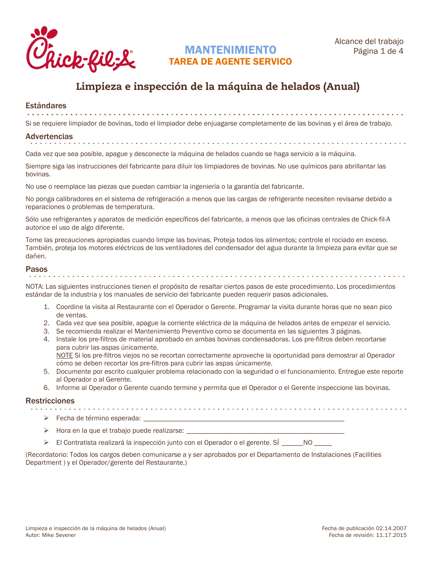

# MANTENIMIENTO TAREA DE AGENTE SERVICO

# Limpieza e inspección de la máquina de helados (Anual)

Estándares

Si se requiere limpiador de bovinas, todo el limpiador debe enjuagarse completamente de las bovinas y el área de trabajo.

## Advertencias

Cada vez que sea posible, apague y desconecte la máquina de helados cuando se haga servicio a la máquina.

Siempre siga las instrucciones del fabricante para diluir los limpiadores de bovinas. No use químicos para abrillantar las bovinas.

No use o reemplace las piezas que puedan cambiar la ingeniería o la garantía del fabricante.

No ponga calibradores en el sistema de refrigeración a menos que las cargas de refrigerante necesiten revisarse debido a reparaciones o problemas de temperatura.

Sólo use refrigerantes y aparatos de medición específicos del fabricante, a menos que las oficinas centrales de Chick-fil-A autorice el uso de algo diferente.

Tome las precauciones apropiadas cuando limpie las bovinas. Proteja todos los alimentos; controle el rociado en exceso. También, proteja los motores eléctricos de los ventiladores del condensador del agua durante la limpieza para evitar que se dañen.

# Pasos

NOTA: Las siguientes instrucciones tienen el propósito de resaltar ciertos pasos de este procedimiento. Los procedimientos estándar de la industria y los manuales de servicio del fabricante pueden requerir pasos adicionales.

- 1. Coordine la visita al Restaurante con el Operador o Gerente. Programar la visita durante horas que no sean pico de ventas.
- 2. Cada vez que sea posible, apague la corriente eléctrica de la máquina de helados antes de empezar el servicio.
- 3. Se recomienda realizar el Mantenimiento Preventivo como se documenta en las siguientes 3 páginas.
- 4. Instale los pre-filtros de material aprobado en ambas bovinas condensadoras. Los pre-filtros deben recortarse para cubrir las aspas únicamente.

NOTE Si los pre-filtros viejos no se recortan correctamente aproveche la oportunidad para demostrar al Operador cómo se deben recortar los pre-filtros para cubrir las aspas únicamente.

- 5. Documente por escrito cualquier problema relacionado con la seguridad o el funcionamiento. Entregue este reporte al Operador o al Gerente.
- 6. Informe al Operador o Gerente cuando termine y permita que el Operador o el Gerente inspeccione las bovinas.

# Restricciones

- $\triangleright$  Fecha de término esperada:  $\perp$
- $\triangleright$  Hora en la que el trabajo puede realizarse:
- > El Contratista realizará la inspección junto con el Operador o el gerente. SÍ \_\_\_\_\_NO \_\_\_\_

(Recordatorio: Todos los cargos deben comunicarse a y ser aprobados por el Departamento de Instalaciones (Facilities Department ) y el Operador/gerente del Restaurante.)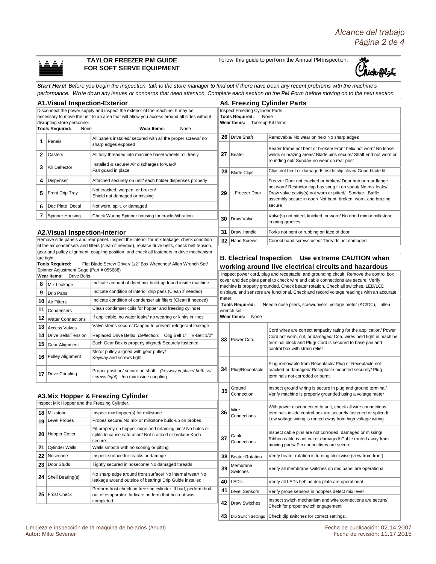## **TAYLOR FREEZER PM GUIDE FOR SOFT SERVE EQUIPMENT**

Follow this guide to perform the Annual PM Inspection.



*Start Here! Before you begin the inspection, talk to the store manager to find out if there have been any recent problems with the machine's performance. Write down any issues or concerns that need attention. Complete each section on the PM Form before moving on to the next section.* 

| <b>A1. Visual Inspection-Exterior</b>                                          |                                                                   |                                                                                                                                                                                           |                                                                                                                                                                                                                                                                  | <b>A4. Freezing Cylinder Parts</b>                                                                 |                                                                                                                                                                                          |  |  |  |  |
|--------------------------------------------------------------------------------|-------------------------------------------------------------------|-------------------------------------------------------------------------------------------------------------------------------------------------------------------------------------------|------------------------------------------------------------------------------------------------------------------------------------------------------------------------------------------------------------------------------------------------------------------|----------------------------------------------------------------------------------------------------|------------------------------------------------------------------------------------------------------------------------------------------------------------------------------------------|--|--|--|--|
| Disconnect the power supply and inspect the exterior of the machine. It may be |                                                                   |                                                                                                                                                                                           |                                                                                                                                                                                                                                                                  | <b>Inspect Freezing Cylinder Parts</b>                                                             |                                                                                                                                                                                          |  |  |  |  |
|                                                                                | disrupting store personnel.                                       | necessary to move the unit to an area that will allow you access around all sides without                                                                                                 | <b>Tools Required:</b><br>None<br>Wear Items: Tune-up Kit Items                                                                                                                                                                                                  |                                                                                                    |                                                                                                                                                                                          |  |  |  |  |
|                                                                                | <b>Tools Required:</b><br>None                                    | Wear Items:<br>None                                                                                                                                                                       |                                                                                                                                                                                                                                                                  |                                                                                                    |                                                                                                                                                                                          |  |  |  |  |
| 1                                                                              | Panels                                                            | All panels installed/ secured with all the proper screws/ no                                                                                                                              |                                                                                                                                                                                                                                                                  | 26 Drive Shaft                                                                                     | Removable/ No wear on hex/ No sharp edges                                                                                                                                                |  |  |  |  |
|                                                                                |                                                                   | sharp edges exposed                                                                                                                                                                       |                                                                                                                                                                                                                                                                  |                                                                                                    | Beater frame not bent or broken/ Front helix not worn/ No loose                                                                                                                          |  |  |  |  |
| 2                                                                              | Casters                                                           | All fully threaded into machine base/ wheels roll freely                                                                                                                                  | 27                                                                                                                                                                                                                                                               | Beater                                                                                             | welds or brazing areas/ Blade pins secure/ Shaft end not worn or<br>rounding out/ Sundae-no wear on rear post                                                                            |  |  |  |  |
| 3                                                                              | Air Deflector                                                     | Installed & secure/ Air discharges forward/<br>Fan guard in place                                                                                                                         |                                                                                                                                                                                                                                                                  | $28$ Blade Clips                                                                                   | Clips not bent or damaged/ Inside clip clean/ Good blade fit                                                                                                                             |  |  |  |  |
| 4                                                                              | Dispenser                                                         | Attached securely on unit/ each holder dispenses properly                                                                                                                                 |                                                                                                                                                                                                                                                                  |                                                                                                    | Freezer Door not cracked or broken/ Door hub or rear flange                                                                                                                              |  |  |  |  |
| 5                                                                              | Front Drip Tray                                                   | Not cracked, warped, or broken/<br>Shield not damaged or missing                                                                                                                          | 29                                                                                                                                                                                                                                                               | Freezer Door                                                                                       | not worn/ Restrictor cap has snug fit on spout/ No mix leaks/<br>Draw valve cavity(s) not worn or pitted/ Sundae- Baffle<br>assembly secure in door/ Not bent, broken, worn, and brazing |  |  |  |  |
| 6                                                                              | Dec Plate Decal                                                   | Not worn, split, or damaged                                                                                                                                                               |                                                                                                                                                                                                                                                                  |                                                                                                    | secure                                                                                                                                                                                   |  |  |  |  |
| 7                                                                              | Spinner Housing                                                   | Check Waring Spinner housing for cracks/vibration.                                                                                                                                        | 30                                                                                                                                                                                                                                                               | Draw Valve                                                                                         | Valve(s) not pitted, knicked, or worn/ No dried mix or milkstone<br>in oring grooves                                                                                                     |  |  |  |  |
|                                                                                | <b>A2. Visual Inspection-Interior</b>                             |                                                                                                                                                                                           | 31                                                                                                                                                                                                                                                               | Draw Handle                                                                                        | Forks not bent or rubbing on face of door                                                                                                                                                |  |  |  |  |
|                                                                                |                                                                   | Remove side panels and rear panel. Inspect the interior for mix leakage, check condition                                                                                                  |                                                                                                                                                                                                                                                                  | 32 Hand Screws                                                                                     | Correct hand screws used/ Threads not damaged                                                                                                                                            |  |  |  |  |
|                                                                                |                                                                   | of the air condensers and filters (clean if needed), replace drive belts, check belt tension,<br>gear and pulley alignment, coupling position, and check all fasteners in drive mechanism |                                                                                                                                                                                                                                                                  |                                                                                                    |                                                                                                                                                                                          |  |  |  |  |
|                                                                                | are tight.                                                        |                                                                                                                                                                                           |                                                                                                                                                                                                                                                                  |                                                                                                    | B. Electrical Inspection Use extreme CAUTION when                                                                                                                                        |  |  |  |  |
|                                                                                | <b>Tools Required:</b><br>Spinner Adjustment Gage (Part # 055688) | Flat Blade Screw Driver/ 1/2" Box Wrenches/ Allen Wrench Set/                                                                                                                             |                                                                                                                                                                                                                                                                  |                                                                                                    | working around live electrical circuits and hazardous                                                                                                                                    |  |  |  |  |
|                                                                                | Wear Items:<br><b>Drive Belts</b>                                 |                                                                                                                                                                                           |                                                                                                                                                                                                                                                                  |                                                                                                    | Inspect power cord, plug and receptacle, and grounding circuit. Remove the control box                                                                                                   |  |  |  |  |
| 8                                                                              | Mix Leakage                                                       | Indicate amount of dried mix build-up found inside machine.                                                                                                                               | cover and dec plate panel to check wire and cable connections are secure. Verify<br>machine is properly grounded. Check beater rotation. Check all switches, LED/LCD<br>displays, and sensors are functional. Check and record voltage readings with an accurate |                                                                                                    |                                                                                                                                                                                          |  |  |  |  |
| 9                                                                              | Drip Pans                                                         | Indicate condition of interior drip pans (Clean if needed)                                                                                                                                |                                                                                                                                                                                                                                                                  |                                                                                                    |                                                                                                                                                                                          |  |  |  |  |
| 10                                                                             | <b>Air Filters</b>                                                | Indicate condition of condenser air filters (Clean if needed)                                                                                                                             |                                                                                                                                                                                                                                                                  | meter.<br><b>Tools Required:</b><br>Needle nose pliers, screwdrivers, voltage meter (AC/DC), allen |                                                                                                                                                                                          |  |  |  |  |
| 11                                                                             | Condensers                                                        | Clean condenser coils for hopper and freezing cylinder.                                                                                                                                   | wrench set                                                                                                                                                                                                                                                       |                                                                                                    |                                                                                                                                                                                          |  |  |  |  |
| 12                                                                             | <b>Water Connections</b>                                          | If applicable, no water leaks/ no wearing or kinks in lines                                                                                                                               |                                                                                                                                                                                                                                                                  | Wear Items:<br>None                                                                                |                                                                                                                                                                                          |  |  |  |  |
| 13                                                                             | <b>Access Valves</b>                                              | Valve stems secure/ Capped to prevent refrigerant leakage                                                                                                                                 |                                                                                                                                                                                                                                                                  |                                                                                                    | Cord wires are correct ampacity rating for the application/ Power                                                                                                                        |  |  |  |  |
| 14                                                                             | Drive Belts/Tension                                               | Replaced Drive Belts/ Deflection: Cog Belt 1" V-Belt 1/2"                                                                                                                                 | 33                                                                                                                                                                                                                                                               | Power Cord                                                                                         | Cord not worn, cut, or damaged/ Cord wires held tight in machine<br>terminal block and Plug/ Cord is secured to base pan and<br>control box with strain relief                           |  |  |  |  |
| 15                                                                             | Gear Alignment                                                    | Each Gear Box is properly aligned/ Securely fastened                                                                                                                                      |                                                                                                                                                                                                                                                                  |                                                                                                    |                                                                                                                                                                                          |  |  |  |  |
| 16                                                                             | <b>Pulley Alignment</b>                                           | Motor pulley aligned with gear pulley/<br>Keyway and screws tight                                                                                                                         |                                                                                                                                                                                                                                                                  |                                                                                                    |                                                                                                                                                                                          |  |  |  |  |
|                                                                                | 17   Drive Coupling                                               | Proper position/ secure on shaft (keyway in place/ both set<br>screws tight) /no mix inside coupling                                                                                      |                                                                                                                                                                                                                                                                  | 34   Plug/Receptacle                                                                               | Plug removable from Receptacle/ Plug or Receptacle not<br>cracked or damaged/ Receptacle mounted securely/ Plug<br>terminals not corroded or burnt                                       |  |  |  |  |
|                                                                                |                                                                   | A3. Mix Hopper & Freezing Cylinder                                                                                                                                                        | 35                                                                                                                                                                                                                                                               | Ground<br>Connection                                                                               | Inspect ground wiring is secure in plug and ground terminal/<br>Verify machine is properly grounded using a voltage meter                                                                |  |  |  |  |
|                                                                                | Inspect Mix Hopper and the Freezing Cylinder.                     |                                                                                                                                                                                           |                                                                                                                                                                                                                                                                  |                                                                                                    | With power disconnected to unit, check all wire connections                                                                                                                              |  |  |  |  |
|                                                                                | 18   Milkstone                                                    | Inspect mix hopper(s) for milkstone                                                                                                                                                       | 36                                                                                                                                                                                                                                                               | Wire<br>Connections                                                                                | terminals inside control box are securely fastened or spliced/                                                                                                                           |  |  |  |  |
|                                                                                | 19 Level Probes                                                   | Probes secure/ No mix or milkstone build-up on probes                                                                                                                                     |                                                                                                                                                                                                                                                                  |                                                                                                    | Low voltage wiring is routed away from high voltage wiring                                                                                                                               |  |  |  |  |
|                                                                                | 20 Hopper Cover                                                   | Fit properly on hopper ridge and retaining pins/No holes or<br>splits to cause saturation/ Not cracked or broken/ Knob<br>secure                                                          | 37                                                                                                                                                                                                                                                               | Cable<br>Connections                                                                               | Inspect cable pins are not corroded, damaged or missing/<br>Ribbon cable is not cut or damaged/ Cable routed away from                                                                   |  |  |  |  |
| 21                                                                             | <b>Cylinder Walls</b>                                             | Walls smooth with no scoring or pitting                                                                                                                                                   |                                                                                                                                                                                                                                                                  |                                                                                                    | moving parts/ Pin connections are secure                                                                                                                                                 |  |  |  |  |
| 22                                                                             | Nosecone                                                          | Inspect surface for cracks or damage                                                                                                                                                      |                                                                                                                                                                                                                                                                  | 38 Beater Rotation                                                                                 | Verify beater rotation is turning clockwise (view from front)                                                                                                                            |  |  |  |  |
| 23                                                                             | Door Studs                                                        | Tightly secured in nosecone/ No damaged threads                                                                                                                                           | 39                                                                                                                                                                                                                                                               | Membrane<br>Switches                                                                               | Verify all membrane switches on dec panel are operational                                                                                                                                |  |  |  |  |
|                                                                                | <b>24</b> Shell Bearing(s)                                        | No sharp edge around front surface/ No internal wear/ No<br>leakage around outside of bearing/ Drip Guide installed                                                                       | 40                                                                                                                                                                                                                                                               | LED's                                                                                              | Verify all LEDs behind dec plate are operational                                                                                                                                         |  |  |  |  |
|                                                                                |                                                                   | Perform frost check on freezing cylinder. If bad, perform boil-                                                                                                                           | 41                                                                                                                                                                                                                                                               | <b>Level Sensors</b>                                                                               | Verify probe sensors in hoppers detect mix level                                                                                                                                         |  |  |  |  |
|                                                                                | 25   Frost Check                                                  | out of evaporator. Indicate on form that boil-out was                                                                                                                                     |                                                                                                                                                                                                                                                                  |                                                                                                    | Inspect switch mechanism and wire connections are secure/                                                                                                                                |  |  |  |  |
|                                                                                |                                                                   | completed.                                                                                                                                                                                | 42                                                                                                                                                                                                                                                               | Draw Switches                                                                                      | Check for proper switch engagement                                                                                                                                                       |  |  |  |  |

**43** Dip Switch Settings Check dip switches for correct settings.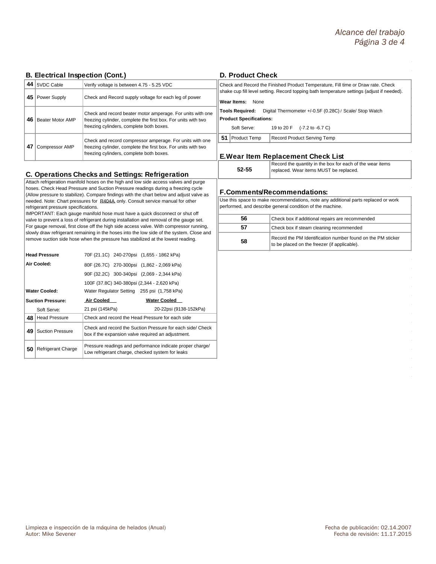## **B. Electrical Inspection (Cont.)**

| 44 | 5VDC Cable              | Verify voltage is between 4.75 - 5.25 VDC                                                                                                                               |                                     | Check and Reco                                                 |  |  |
|----|-------------------------|-------------------------------------------------------------------------------------------------------------------------------------------------------------------------|-------------------------------------|----------------------------------------------------------------|--|--|
| 45 | Power Supply            | Check and Record supply voltage for each leg of power                                                                                                                   | shake cup fill lev<br>Wear Items: N |                                                                |  |  |
| 46 | <b>Beater Motor AMP</b> | Check and record beater motor amperage. For units with one<br>freezing cylinder, complete the first box. For units with two<br>freezing cylinders, complete both boxes. |                                     | <b>Tools Required</b><br><b>Product Specifi</b><br>Soft Serve: |  |  |
|    |                         | Check and record compressor amperage. For units with one                                                                                                                | 51                                  | Product Te                                                     |  |  |
| 47 | Compressor AMP          | freezing cylinder, complete the first box. For units with two<br>freezing cylinders, complete both boxes.                                                               |                                     | <b>E.Wear Ite</b>                                              |  |  |

## **C. Operations Checks and Settings: Refrigeration**

Attach refrigeration manifold hoses on the high and low side access valves and purge hoses. Check Head Pressure and Suction Pressure readings during a freezing cycle (Allow pressure to stabilize). Compare findings with the chart below and adjust valve as needed. Note: Chart pressures for R404A only. Consult service manual for other refrigerant pressure specifications.

IMPORTANT: Each gauge manifold hose must have a quick disconnect or shut off valve to prevent a loss of refrigerant during installation and removal of the gauge set. For gauge removal, first close off the high side access valve. With compressor running, slowly draw refrigerant remaining in the hoses into the low side of the system. Close and remove suction side hose when the pressure has stabilized at the lowest reading.

|                                 | <b>Head Pressure</b>     |                 | 70F (21.1C) 240-270psi (1,655 - 1862 kPa)                                                                        |  |
|---------------------------------|--------------------------|-----------------|------------------------------------------------------------------------------------------------------------------|--|
|                                 | Air Cooled:              |                 | 80F (26.7C) 270-300psi (1,862 - 2,069 kPa)                                                                       |  |
|                                 |                          |                 | 90F (32.2C) 300-340psi (2,069 - 2,344 kPa)                                                                       |  |
|                                 |                          |                 | 100F (37.8C) 340-380psi (2,344 - 2,620 kPa)                                                                      |  |
|                                 | <b>Water Cooled:</b>     |                 | Water Regulator Setting 255 psi (1,758 kPa)                                                                      |  |
|                                 | <b>Suction Pressure:</b> | Air Cooled      | <b>Water Cooled</b>                                                                                              |  |
|                                 | Soft Serve:              | 21 psi (145kPa) | 20-22psi (9138-152kPa)                                                                                           |  |
| 48                              | <b>Head Pressure</b>     |                 | Check and record the Head Pressure for each side                                                                 |  |
| 49                              | <b>Suction Pressure</b>  |                 | Check and record the Suction Pressure for each side/ Check<br>box if the expansion valve required an adjustment. |  |
| 50<br><b>Refrigerant Charge</b> |                          |                 | Pressure readings and performance indicate proper charge/<br>Low refrigerant charge, checked system for leaks    |  |

### **D. Product Check**

**Vone** Digital Thermometer +/-0.5F (0.28C) / Scale/ Stop Watch rd the Finished Product Temperature, Fill time or Draw rate. Check rel setting. Record topping bath temperature settings (adjust if needed).

#### **Product** Sections:

| Soft Serve:     | 19 to 20 F (-7.2 to -6.7 C) |
|-----------------|-----------------------------|
| 51 Product Temp | Record Product Serving Temp |

## **In Replacement Check List**

|       | l Record th |
|-------|-------------|
| 52-55 | replaced.   |

Requantity in the box for each of the wear items Wear items MUST be replaced.

## **F.Comments/Recommendations:**

Use this space to make recommendations, note any additional parts replaced or work performed, and describe general condition of the machine.

| 56 | Check box if additional repairs are recommended                                                             |
|----|-------------------------------------------------------------------------------------------------------------|
| 57 | Check box if steam cleaning recommended                                                                     |
| 58 | Record the PM Identification number found on the PM sticker<br>to be placed on the freezer (if applicable). |